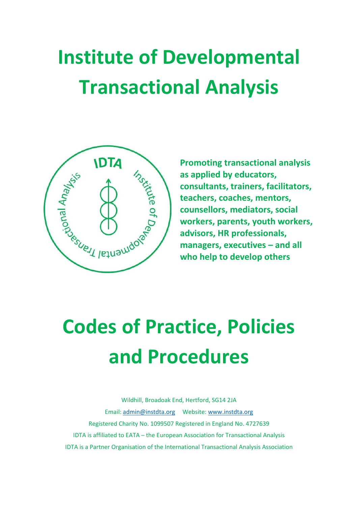# **Institute of Developmental Transactional Analysis**



**Promoting transactional analysis as applied by educators, consultants, trainers, facilitators, teachers, coaches, mentors, counsellors, mediators, social workers, parents, youth workers, advisors, HR professionals, managers, executives – and all who help to develop others** 

# **Codes of Practice, Policies and Procedures**

Wildhill, Broadoak End, Hertford, SG14 2JA Email: [admin@instdta.org](mailto:admin@instdta.org) Website: [www.instdta.org](file:///C:/Users/Julie/Dropbox/1%20PAUL/Done/IDTA%20Codes%20docs/www.instdta.org) Registered Charity No. 1099507 Registered in England No. 4727639 IDTA is affiliated to EATA – the European Association for Transactional Analysis IDTA is a Partner Organisation of the International Transactional Analysis Association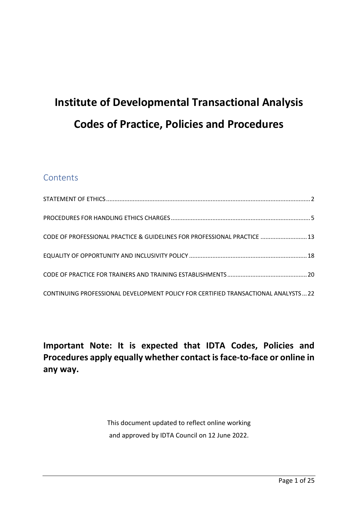# **Institute of Developmental Transactional Analysis Codes of Practice, Policies and Procedures**

# **Contents**

| CODE OF PROFESSIONAL PRACTICE & GUIDELINES FOR PROFESSIONAL PRACTICE  13          |  |
|-----------------------------------------------------------------------------------|--|
|                                                                                   |  |
|                                                                                   |  |
| CONTINUING PROFESSIONAL DEVELOPMENT POLICY FOR CERTIFIED TRANSACTIONAL ANALYSTS22 |  |

**Important Note: It is expected that IDTA Codes, Policies and Procedures apply equally whether contact is face-to-face or online in any way.**

> This document updated to reflect online working and approved by IDTA Council on 12 June 2022.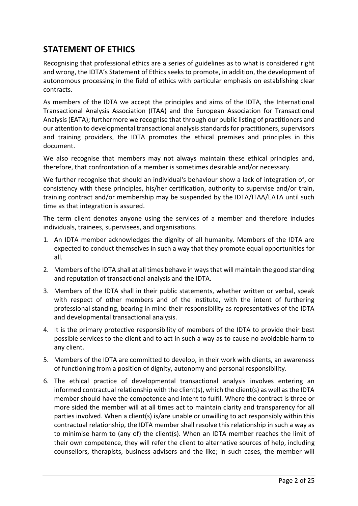# <span id="page-2-0"></span>**STATEMENT OF ETHICS**

Recognising that professional ethics are a series of guidelines as to what is considered right and wrong, the IDTA's Statement of Ethics seeks to promote, in addition, the development of autonomous processing in the field of ethics with particular emphasis on establishing clear contracts.

As members of the IDTA we accept the principles and aims of the IDTA, the International Transactional Analysis Association (ITAA) and the European Association for Transactional Analysis (EATA); furthermore we recognise that through our public listing of practitioners and our attention to developmental transactional analysis standards for practitioners, supervisors and training providers, the IDTA promotes the ethical premises and principles in this document.

We also recognise that members may not always maintain these ethical principles and, therefore, that confrontation of a member is sometimes desirable and/or necessary.

We further recognise that should an individual's behaviour show a lack of integration of, or consistency with these principles, his/her certification, authority to supervise and/or train, training contract and/or membership may be suspended by the IDTA/ITAA/EATA until such time as that integration is assured.

The term client denotes anyone using the services of a member and therefore includes individuals, trainees, supervisees, and organisations.

- 1. An IDTA member acknowledges the dignity of all humanity. Members of the IDTA are expected to conduct themselves in such a way that they promote equal opportunities for all.
- 2. Members of the IDTA shall at all times behave in ways that will maintain the good standing and reputation of transactional analysis and the IDTA.
- 3. Members of the IDTA shall in their public statements, whether written or verbal, speak with respect of other members and of the institute, with the intent of furthering professional standing, bearing in mind their responsibility as representatives of the IDTA and developmental transactional analysis.
- 4. It is the primary protective responsibility of members of the IDTA to provide their best possible services to the client and to act in such a way as to cause no avoidable harm to any client.
- 5. Members of the IDTA are committed to develop, in their work with clients, an awareness of functioning from a position of dignity, autonomy and personal responsibility.
- 6. The ethical practice of developmental transactional analysis involves entering an informed contractual relationship with the client(s), which the client(s) as well as the IDTA member should have the competence and intent to fulfil. Where the contract is three or more sided the member will at all times act to maintain clarity and transparency for all parties involved. When a client(s) is/are unable or unwilling to act responsibly within this contractual relationship, the IDTA member shall resolve this relationship in such a way as to minimise harm to (any of) the client(s). When an IDTA member reaches the limit of their own competence, they will refer the client to alternative sources of help, including counsellors, therapists, business advisers and the like; in such cases, the member will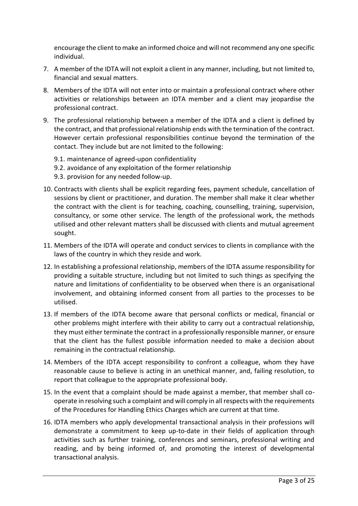encourage the client to make an informed choice and will not recommend any one specific individual.

- 7. A member of the IDTA will not exploit a client in any manner, including, but not limited to, financial and sexual matters.
- 8. Members of the IDTA will not enter into or maintain a professional contract where other activities or relationships between an IDTA member and a client may jeopardise the professional contract.
- 9. The professional relationship between a member of the IDTA and a client is defined by the contract, and that professional relationship ends with the termination of the contract. However certain professional responsibilities continue beyond the termination of the contact. They include but are not limited to the following:
	- 9.1. maintenance of agreed-upon confidentiality
	- 9.2. avoidance of any exploitation of the former relationship
	- 9.3. provision for any needed follow-up.
- 10. Contracts with clients shall be explicit regarding fees, payment schedule, cancellation of sessions by client or practitioner, and duration. The member shall make it clear whether the contract with the client is for teaching, coaching, counselling, training, supervision, consultancy, or some other service. The length of the professional work, the methods utilised and other relevant matters shall be discussed with clients and mutual agreement sought.
- 11. Members of the IDTA will operate and conduct services to clients in compliance with the laws of the country in which they reside and work.
- 12. In establishing a professional relationship, members of the IDTA assume responsibility for providing a suitable structure, including but not limited to such things as specifying the nature and limitations of confidentiality to be observed when there is an organisational involvement, and obtaining informed consent from all parties to the processes to be utilised.
- 13. If members of the IDTA become aware that personal conflicts or medical, financial or other problems might interfere with their ability to carry out a contractual relationship, they must either terminate the contract in a professionally responsible manner, or ensure that the client has the fullest possible information needed to make a decision about remaining in the contractual relationship.
- 14. Members of the IDTA accept responsibility to confront a colleague, whom they have reasonable cause to believe is acting in an unethical manner, and, failing resolution, to report that colleague to the appropriate professional body.
- 15. In the event that a complaint should be made against a member, that member shall cooperate in resolving such a complaint and will comply in all respects with the requirements of the Procedures for Handling Ethics Charges which are current at that time.
- 16. IDTA members who apply developmental transactional analysis in their professions will demonstrate a commitment to keep up-to-date in their fields of application through activities such as further training, conferences and seminars, professional writing and reading, and by being informed of, and promoting the interest of developmental transactional analysis.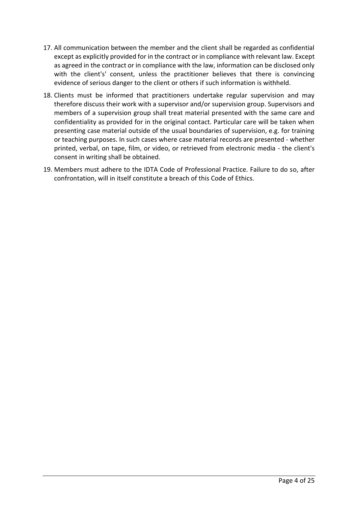- 17. All communication between the member and the client shall be regarded as confidential except as explicitly provided for in the contract or in compliance with relevant law. Except as agreed in the contract or in compliance with the law, information can be disclosed only with the client's' consent, unless the practitioner believes that there is convincing evidence of serious danger to the client or others if such information is withheld.
- 18. Clients must be informed that practitioners undertake regular supervision and may therefore discuss their work with a supervisor and/or supervision group. Supervisors and members of a supervision group shall treat material presented with the same care and confidentiality as provided for in the original contact. Particular care will be taken when presenting case material outside of the usual boundaries of supervision, e.g. for training or teaching purposes. In such cases where case material records are presented - whether printed, verbal, on tape, film, or video, or retrieved from electronic media - the client's consent in writing shall be obtained.
- 19. Members must adhere to the IDTA Code of Professional Practice. Failure to do so, after confrontation, will in itself constitute a breach of this Code of Ethics.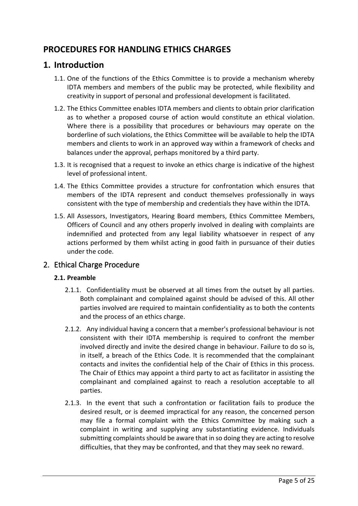# <span id="page-5-0"></span>**PROCEDURES FOR HANDLING ETHICS CHARGES**

### **1. Introduction**

- 1.1. One of the functions of the Ethics Committee is to provide a mechanism whereby IDTA members and members of the public may be protected, while flexibility and creativity in support of personal and professional development is facilitated.
- 1.2. The Ethics Committee enables IDTA members and clients to obtain prior clarification as to whether a proposed course of action would constitute an ethical violation. Where there is a possibility that procedures or behaviours may operate on the borderline of such violations, the Ethics Committee will be available to help the IDTA members and clients to work in an approved way within a framework of checks and balances under the approval, perhaps monitored by a third party.
- 1.3. It is recognised that a request to invoke an ethics charge is indicative of the highest level of professional intent.
- 1.4. The Ethics Committee provides a structure for confrontation which ensures that members of the IDTA represent and conduct themselves professionally in ways consistent with the type of membership and credentials they have within the IDTA.
- 1.5. All Assessors, Investigators, Hearing Board members, Ethics Committee Members, Officers of Council and any others properly involved in dealing with complaints are indemnified and protected from any legal liability whatsoever in respect of any actions performed by them whilst acting in good faith in pursuance of their duties under the code.

#### 2. Ethical Charge Procedure

#### **2.1. Preamble**

- 2.1.1. Confidentiality must be observed at all times from the outset by all parties. Both complainant and complained against should be advised of this. All other parties involved are required to maintain confidentiality as to both the contents and the process of an ethics charge.
- 2.1.2. Any individual having a concern that a member's professional behaviour is not consistent with their IDTA membership is required to confront the member involved directly and invite the desired change in behaviour. Failure to do so is, in itself, a breach of the Ethics Code. It is recommended that the complainant contacts and invites the confidential help of the Chair of Ethics in this process. The Chair of Ethics may appoint a third party to act as facilitator in assisting the complainant and complained against to reach a resolution acceptable to all parties.
- 2.1.3. In the event that such a confrontation or facilitation fails to produce the desired result, or is deemed impractical for any reason, the concerned person may file a formal complaint with the Ethics Committee by making such a complaint in writing and supplying any substantiating evidence. Individuals submitting complaints should be aware that in so doing they are acting to resolve difficulties, that they may be confronted, and that they may seek no reward.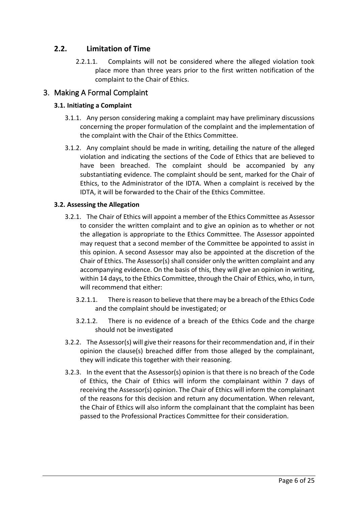#### **2.2. Limitation of Time**

2.2.1.1. Complaints will not be considered where the alleged violation took place more than three years prior to the first written notification of the complaint to the Chair of Ethics.

#### 3. Making A Formal Complaint

#### **3.1. Initiating a Complaint**

- 3.1.1. Any person considering making a complaint may have preliminary discussions concerning the proper formulation of the complaint and the implementation of the complaint with the Chair of the Ethics Committee.
- 3.1.2. Any complaint should be made in writing, detailing the nature of the alleged violation and indicating the sections of the Code of Ethics that are believed to have been breached. The complaint should be accompanied by any substantiating evidence. The complaint should be sent, marked for the Chair of Ethics, to the Administrator of the IDTA. When a complaint is received by the IDTA, it will be forwarded to the Chair of the Ethics Committee.

#### **3.2. Assessing the Allegation**

- 3.2.1. The Chair of Ethics will appoint a member of the Ethics Committee as Assessor to consider the written complaint and to give an opinion as to whether or not the allegation is appropriate to the Ethics Committee. The Assessor appointed may request that a second member of the Committee be appointed to assist in this opinion. A second Assessor may also be appointed at the discretion of the Chair of Ethics. The Assessor(s) shall consider only the written complaint and any accompanying evidence. On the basis of this, they will give an opinion in writing, within 14 days, to the Ethics Committee, through the Chair of Ethics, who, in turn, will recommend that either:
	- 3.2.1.1. There is reason to believe that there may be a breach of the Ethics Code and the complaint should be investigated; or
	- 3.2.1.2. There is no evidence of a breach of the Ethics Code and the charge should not be investigated
- 3.2.2. The Assessor(s) will give their reasons for their recommendation and, if in their opinion the clause(s) breached differ from those alleged by the complainant, they will indicate this together with their reasoning.
- 3.2.3. In the event that the Assessor(s) opinion is that there is no breach of the Code of Ethics, the Chair of Ethics will inform the complainant within 7 days of receiving the Assessor(s) opinion. The Chair of Ethics will inform the complainant of the reasons for this decision and return any documentation. When relevant, the Chair of Ethics will also inform the complainant that the complaint has been passed to the Professional Practices Committee for their consideration.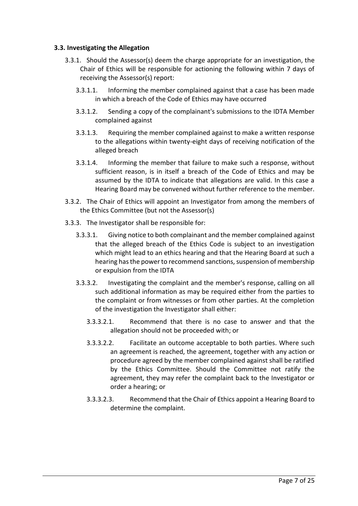#### **3.3. Investigating the Allegation**

- 3.3.1. Should the Assessor(s) deem the charge appropriate for an investigation, the Chair of Ethics will be responsible for actioning the following within 7 days of receiving the Assessor(s) report:
	- 3.3.1.1. Informing the member complained against that a case has been made in which a breach of the Code of Ethics may have occurred
	- 3.3.1.2. Sending a copy of the complainant's submissions to the IDTA Member complained against
	- 3.3.1.3. Requiring the member complained against to make a written response to the allegations within twenty-eight days of receiving notification of the alleged breach
	- 3.3.1.4. Informing the member that failure to make such a response, without sufficient reason, is in itself a breach of the Code of Ethics and may be assumed by the IDTA to indicate that allegations are valid. In this case a Hearing Board may be convened without further reference to the member.
- 3.3.2. The Chair of Ethics will appoint an Investigator from among the members of the Ethics Committee (but not the Assessor(s)
- 3.3.3. The Investigator shall be responsible for:
	- 3.3.3.1. Giving notice to both complainant and the member complained against that the alleged breach of the Ethics Code is subject to an investigation which might lead to an ethics hearing and that the Hearing Board at such a hearing has the power to recommend sanctions, suspension of membership or expulsion from the IDTA
	- 3.3.3.2. Investigating the complaint and the member's response, calling on all such additional information as may be required either from the parties to the complaint or from witnesses or from other parties. At the completion of the investigation the Investigator shall either:
		- 3.3.3.2.1. Recommend that there is no case to answer and that the allegation should not be proceeded with; or
		- 3.3.3.2.2. Facilitate an outcome acceptable to both parties. Where such an agreement is reached, the agreement, together with any action or procedure agreed by the member complained against shall be ratified by the Ethics Committee. Should the Committee not ratify the agreement, they may refer the complaint back to the Investigator or order a hearing; or
		- 3.3.3.2.3. Recommend that the Chair of Ethics appoint a Hearing Board to determine the complaint.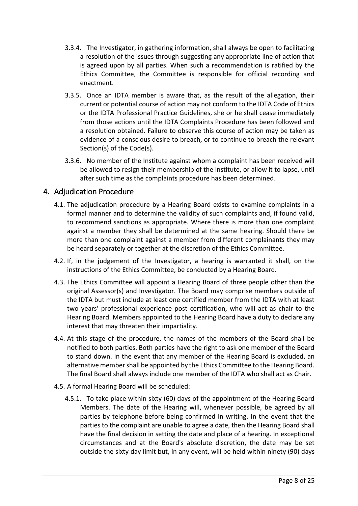- 3.3.4. The Investigator, in gathering information, shall always be open to facilitating a resolution of the issues through suggesting any appropriate line of action that is agreed upon by all parties. When such a recommendation is ratified by the Ethics Committee, the Committee is responsible for official recording and enactment.
- 3.3.5. Once an IDTA member is aware that, as the result of the allegation, their current or potential course of action may not conform to the IDTA Code of Ethics or the IDTA Professional Practice Guidelines, she or he shall cease immediately from those actions until the IDTA Complaints Procedure has been followed and a resolution obtained. Failure to observe this course of action may be taken as evidence of a conscious desire to breach, or to continue to breach the relevant Section(s) of the Code(s).
- 3.3.6. No member of the Institute against whom a complaint has been received will be allowed to resign their membership of the Institute, or allow it to lapse, until after such time as the complaints procedure has been determined.

#### 4. Adjudication Procedure

- 4.1. The adjudication procedure by a Hearing Board exists to examine complaints in a formal manner and to determine the validity of such complaints and, if found valid, to recommend sanctions as appropriate. Where there is more than one complaint against a member they shall be determined at the same hearing. Should there be more than one complaint against a member from different complainants they may be heard separately or together at the discretion of the Ethics Committee.
- 4.2. If, in the judgement of the Investigator, a hearing is warranted it shall, on the instructions of the Ethics Committee, be conducted by a Hearing Board.
- 4.3. The Ethics Committee will appoint a Hearing Board of three people other than the original Assessor(s) and Investigator. The Board may comprise members outside of the IDTA but must include at least one certified member from the IDTA with at least two years' professional experience post certification, who will act as chair to the Hearing Board. Members appointed to the Hearing Board have a duty to declare any interest that may threaten their impartiality.
- 4.4. At this stage of the procedure, the names of the members of the Board shall be notified to both parties. Both parties have the right to ask one member of the Board to stand down. In the event that any member of the Hearing Board is excluded, an alternative member shall be appointed by the Ethics Committee to the Hearing Board. The final Board shall always include one member of the IDTA who shall act as Chair.
- 4.5. A formal Hearing Board will be scheduled:
	- 4.5.1. To take place within sixty (60) days of the appointment of the Hearing Board Members. The date of the Hearing will, whenever possible, be agreed by all parties by telephone before being confirmed in writing. In the event that the parties to the complaint are unable to agree a date, then the Hearing Board shall have the final decision in setting the date and place of a hearing. In exceptional circumstances and at the Board's absolute discretion, the date may be set outside the sixty day limit but, in any event, will be held within ninety (90) days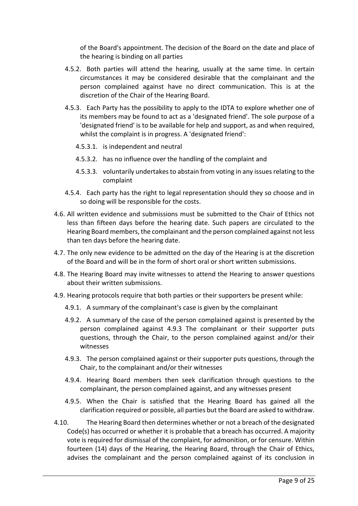of the Board's appointment. The decision of the Board on the date and place of the hearing is binding on all parties

- 4.5.2. Both parties will attend the hearing, usually at the same time. In certain circumstances it may be considered desirable that the complainant and the person complained against have no direct communication. This is at the discretion of the Chair of the Hearing Board.
- 4.5.3. Each Party has the possibility to apply to the IDTA to explore whether one of its members may be found to act as a 'designated friend'. The sole purpose of a 'designated friend' is to be available for help and support, as and when required, whilst the complaint is in progress. A 'designated friend':
	- 4.5.3.1. is independent and neutral
	- 4.5.3.2. has no influence over the handling of the complaint and
	- 4.5.3.3. voluntarily undertakes to abstain from voting in any issues relating to the complaint
- 4.5.4. Each party has the right to legal representation should they so choose and in so doing will be responsible for the costs.
- 4.6. All written evidence and submissions must be submitted to the Chair of Ethics not less than fifteen days before the hearing date. Such papers are circulated to the Hearing Board members, the complainant and the person complained against not less than ten days before the hearing date.
- 4.7. The only new evidence to be admitted on the day of the Hearing is at the discretion of the Board and will be in the form of short oral or short written submissions.
- 4.8. The Hearing Board may invite witnesses to attend the Hearing to answer questions about their written submissions.
- 4.9. Hearing protocols require that both parties or their supporters be present while:
	- 4.9.1. A summary of the complainant's case is given by the complainant
	- 4.9.2. A summary of the case of the person complained against is presented by the person complained against 4.9.3 The complainant or their supporter puts questions, through the Chair, to the person complained against and/or their witnesses
	- 4.9.3. The person complained against or their supporter puts questions, through the Chair, to the complainant and/or their witnesses
	- 4.9.4. Hearing Board members then seek clarification through questions to the complainant, the person complained against, and any witnesses present
	- 4.9.5. When the Chair is satisfied that the Hearing Board has gained all the clarification required or possible, all parties but the Board are asked to withdraw.
- 4.10. The Hearing Board then determines whether or not a breach of the designated Code(s) has occurred or whether it is probable that a breach has occurred. A majority vote is required for dismissal of the complaint, for admonition, or for censure. Within fourteen (14) days of the Hearing, the Hearing Board, through the Chair of Ethics, advises the complainant and the person complained against of its conclusion in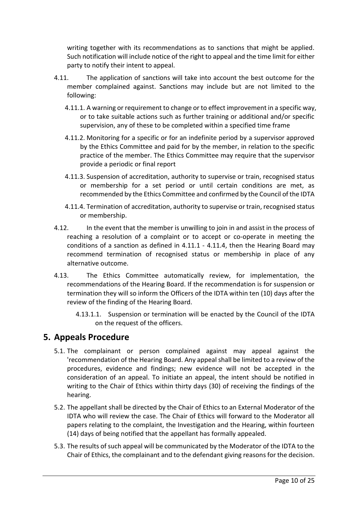writing together with its recommendations as to sanctions that might be applied. Such notification will include notice of the right to appeal and the time limit for either party to notify their intent to appeal.

- 4.11. The application of sanctions will take into account the best outcome for the member complained against. Sanctions may include but are not limited to the following:
	- 4.11.1. A warning or requirement to change or to effect improvement in a specific way, or to take suitable actions such as further training or additional and/or specific supervision, any of these to be completed within a specified time frame
	- 4.11.2. Monitoring for a specific or for an indefinite period by a supervisor approved by the Ethics Committee and paid for by the member, in relation to the specific practice of the member. The Ethics Committee may require that the supervisor provide a periodic or final report
	- 4.11.3. Suspension of accreditation, authority to supervise or train, recognised status or membership for a set period or until certain conditions are met, as recommended by the Ethics Committee and confirmed by the Council of the IDTA
	- 4.11.4. Termination of accreditation, authority to supervise or train, recognised status or membership.
- 4.12. In the event that the member is unwilling to join in and assist in the process of reaching a resolution of a complaint or to accept or co-operate in meeting the conditions of a sanction as defined in 4.11.1 - 4.11.4, then the Hearing Board may recommend termination of recognised status or membership in place of any alternative outcome.
- 4.13. The Ethics Committee automatically review, for implementation, the recommendations of the Hearing Board. If the recommendation is for suspension or termination they will so inform the Officers of the IDTA within ten (10) days after the review of the finding of the Hearing Board.
	- 4.13.1.1. Suspension or termination will be enacted by the Council of the IDTA on the request of the officers.

#### **5. Appeals Procedure**

- 5.1. The complainant or person complained against may appeal against the 'recommendation of the Hearing Board. Any appeal shall be limited to a review of the procedures, evidence and findings; new evidence will not be accepted in the consideration of an appeal. To initiate an appeal, the intent should be notified in writing to the Chair of Ethics within thirty days (30) of receiving the findings of the hearing.
- 5.2. The appellant shall be directed by the Chair of Ethics to an External Moderator of the IDTA who will review the case. The Chair of Ethics will forward to the Moderator all papers relating to the complaint, the Investigation and the Hearing, within fourteen (14) days of being notified that the appellant has formally appealed.
- 5.3. The results of such appeal will be communicated by the Moderator of the IDTA to the Chair of Ethics, the complainant and to the defendant giving reasons for the decision.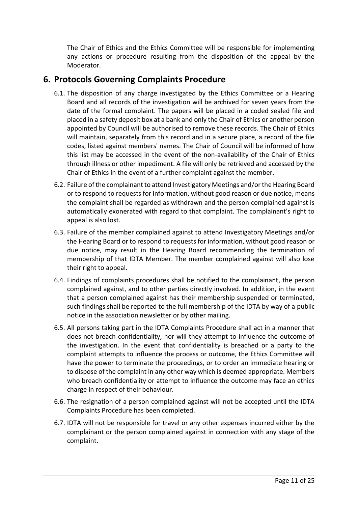The Chair of Ethics and the Ethics Committee will be responsible for implementing any actions or procedure resulting from the disposition of the appeal by the Moderator.

### **6. Protocols Governing Complaints Procedure**

- 6.1. The disposition of any charge investigated by the Ethics Committee or a Hearing Board and all records of the investigation will be archived for seven years from the date of the formal complaint. The papers will be placed in a coded sealed file and placed in a safety deposit box at a bank and only the Chair of Ethics or another person appointed by Council will be authorised to remove these records. The Chair of Ethics will maintain, separately from this record and in a secure place, a record of the file codes, listed against members' names. The Chair of Council will be informed of how this list may be accessed in the event of the non-availability of the Chair of Ethics through illness or other impediment. A file will only be retrieved and accessed by the Chair of Ethics in the event of a further complaint against the member.
- 6.2. Failure of the complainant to attend Investigatory Meetings and/or the Hearing Board or to respond to requests for information, without good reason or due notice, means the complaint shall be regarded as withdrawn and the person complained against is automatically exonerated with regard to that complaint. The complainant's right to appeal is also lost.
- 6.3. Failure of the member complained against to attend Investigatory Meetings and/or the Hearing Board or to respond to requests for information, without good reason or due notice, may result in the Hearing Board recommending the termination of membership of that IDTA Member. The member complained against will also lose their right to appeal.
- 6.4. Findings of complaints procedures shall be notified to the complainant, the person complained against, and to other parties directly involved. In addition, in the event that a person complained against has their membership suspended or terminated, such findings shall be reported to the full membership of the IDTA by way of a public notice in the association newsletter or by other mailing.
- 6.5. All persons taking part in the IDTA Complaints Procedure shall act in a manner that does not breach confidentiality, nor will they attempt to influence the outcome of the investigation. In the event that confidentiality is breached or a party to the complaint attempts to influence the process or outcome, the Ethics Committee will have the power to terminate the proceedings, or to order an immediate hearing or to dispose of the complaint in any other way which is deemed appropriate. Members who breach confidentiality or attempt to influence the outcome may face an ethics charge in respect of their behaviour.
- 6.6. The resignation of a person complained against will not be accepted until the IDTA Complaints Procedure has been completed.
- 6.7. IDTA will not be responsible for travel or any other expenses incurred either by the complainant or the person complained against in connection with any stage of the complaint.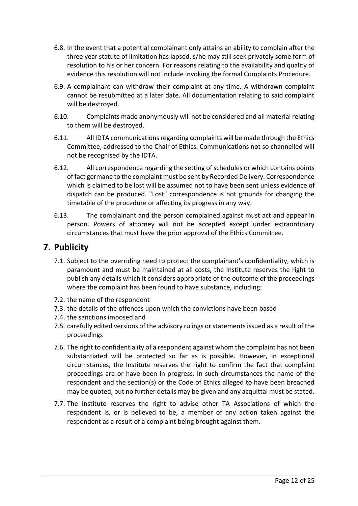- 6.8. In the event that a potential complainant only attains an ability to complain after the three year statute of limitation has lapsed, s/he may still seek privately some form of resolution to his or her concern. For reasons relating to the availability and quality of evidence this resolution will not include invoking the formal Complaints Procedure.
- 6.9. A complainant can withdraw their complaint at any time. A withdrawn complaint cannot be resubmitted at a later date. All documentation relating to said complaint will be destroyed.
- 6.10. Complaints made anonymously will not be considered and all material relating to them will be destroyed.
- 6.11. All IDTA communications regarding complaints will be made through the Ethics Committee, addressed to the Chair of Ethics. Communications not so channelled will not be recognised by the IDTA.
- 6.12. All correspondence regarding the setting of schedules or which contains points of fact germane to the complaint must be sent by Recorded Delivery. Correspondence which is claimed to be lost will be assumed not to have been sent unless evidence of dispatch can be produced. "Lost" correspondence is not grounds for changing the timetable of the procedure or affecting its progress in any way.
- 6.13. The complainant and the person complained against must act and appear in person. Powers of attorney will not be accepted except under extraordinary circumstances that must have the prior approval of the Ethics Committee.

### **7. Publicity**

- 7.1. Subject to the overriding need to protect the complainant's confidentiality, which is paramount and must be maintained at all costs, the Institute reserves the right to publish any details which it considers appropriate of the outcome of the proceedings where the complaint has been found to have substance, including:
- 7.2. the name of the respondent
- 7.3. the details of the offences upon which the convictions have been based
- 7.4. the sanctions imposed and
- 7.5. carefully edited versions of the advisory rulings or statements issued as a result of the proceedings
- 7.6. The right to confidentiality of a respondent against whom the complaint has not been substantiated will be protected so far as is possible. However, in exceptional circumstances, the Institute reserves the right to confirm the fact that complaint proceedings are or have been in progress. In such circumstances the name of the respondent and the section(s) or the Code of Ethics alleged to have been breached may be quoted, but no further details may be given and any acquittal must be stated.
- 7.7. The Institute reserves the right to advise other TA Associations of which the respondent is, or is believed to be, a member of any action taken against the respondent as a result of a complaint being brought against them.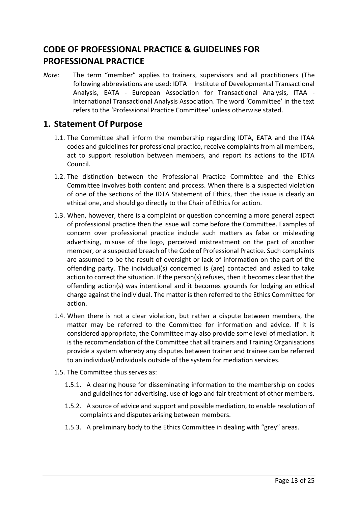# <span id="page-13-0"></span>**CODE OF PROFESSIONAL PRACTICE & GUIDELINES FOR PROFESSIONAL PRACTICE**

*Note:* The term "member" applies to trainers, supervisors and all practitioners (The following abbreviations are used: IDTA – Institute of Developmental Transactional Analysis, EATA - European Association for Transactional Analysis, ITAA - International Transactional Analysis Association. The word 'Committee' in the text refers to the 'Professional Practice Committee' unless otherwise stated.

#### **1. Statement Of Purpose**

- 1.1. The Committee shall inform the membership regarding IDTA, EATA and the ITAA codes and guidelines for professional practice, receive complaints from all members, act to support resolution between members, and report its actions to the IDTA Council.
- 1.2. The distinction between the Professional Practice Committee and the Ethics Committee involves both content and process. When there is a suspected violation of one of the sections of the IDTA Statement of Ethics, then the issue is clearly an ethical one, and should go directly to the Chair of Ethics for action.
- 1.3. When, however, there is a complaint or question concerning a more general aspect of professional practice then the issue will come before the Committee. Examples of concern over professional practice include such matters as false or misleading advertising, misuse of the logo, perceived mistreatment on the part of another member, or a suspected breach of the Code of Professional Practice. Such complaints are assumed to be the result of oversight or lack of information on the part of the offending party. The individual(s) concerned is (are) contacted and asked to take action to correct the situation. If the person(s) refuses, then it becomes clear that the offending action(s) was intentional and it becomes grounds for lodging an ethical charge against the individual. The matter is then referred to the Ethics Committee for action.
- 1.4. When there is not a clear violation, but rather a dispute between members, the matter may be referred to the Committee for information and advice. If it is considered appropriate, the Committee may also provide some level of mediation. It is the recommendation of the Committee that all trainers and Training Organisations provide a system whereby any disputes between trainer and trainee can be referred to an individual/individuals outside of the system for mediation services.
- 1.5. The Committee thus serves as:
	- 1.5.1. A clearing house for disseminating information to the membership on codes and guidelines for advertising, use of logo and fair treatment of other members.
	- 1.5.2. A source of advice and support and possible mediation, to enable resolution of complaints and disputes arising between members.
	- 1.5.3. A preliminary body to the Ethics Committee in dealing with "grey" areas.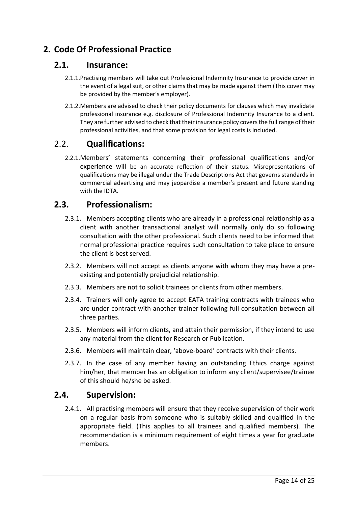# **2. Code Of Professional Practice**

#### **2.1. Insurance:**

- 2.1.1.Practising members will take out Professional Indemnity Insurance to provide cover in the event of a legal suit, or other claims that may be made against them (This cover may be provided by the member's employer).
- 2.1.2.Members are advised to check their policy documents for clauses which may invalidate professional insurance e.g. disclosure of Professional Indemnity Insurance to a client. They are further advised to check that their insurance policy covers the full range of their professional activities, and that some provision for legal costs is included.

#### 2.2. **Qualifications:**

2.2.1.Members' statements concerning their professional qualifications and/or experience will be an accurate reflection of their status. Misrepresentations of qualifications may be illegal under the Trade Descriptions Act that governs standards in commercial advertising and may jeopardise a member's present and future standing with the IDTA.

#### **2.3. Professionalism:**

- 2.3.1. Members accepting clients who are already in a professional relationship as a client with another transactional analyst will normally only do so following consultation with the other professional. Such clients need to be informed that normal professional practice requires such consultation to take place to ensure the client is best served.
- 2.3.2. Members will not accept as clients anyone with whom they may have a preexisting and potentially prejudicial relationship.
- 2.3.3. Members are not to solicit trainees or clients from other members.
- 2.3.4. Trainers will only agree to accept EATA training contracts with trainees who are under contract with another trainer following full consultation between all three parties.
- 2.3.5. Members will inform clients, and attain their permission, if they intend to use any material from the client for Research or Publication.
- 2.3.6. Members will maintain clear, 'above-board' contracts with their clients.
- 2.3.7. In the case of any member having an outstanding Ethics charge against him/her, that member has an obligation to inform any client/supervisee/trainee of this should he/she be asked.

#### **2.4. Supervision:**

2.4.1. All practising members will ensure that they receive supervision of their work on a regular basis from someone who is suitably skilled and qualified in the appropriate field. (This applies to all trainees and qualified members). The recommendation is a minimum requirement of eight times a year for graduate members.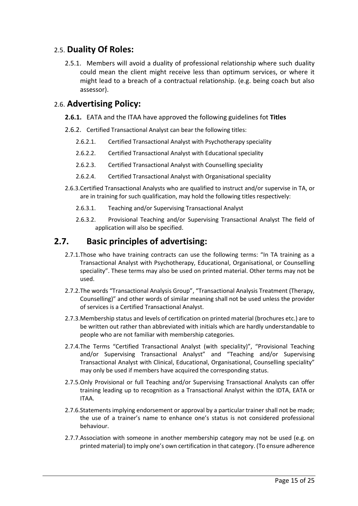#### 2.5. **Duality Of Roles:**

2.5.1. Members will avoid a duality of professional relationship where such duality could mean the client might receive less than optimum services, or where it might lead to a breach of a contractual relationship. (e.g. being coach but also assessor).

#### 2.6. **Advertising Policy:**

- **2.6.1.** EATA and the ITAA have approved the following guidelines fot **Titles**
- 2.6.2. Certified Transactional Analyst can bear the following titles:
	- 2.6.2.1. Certified Transactional Analyst with Psychotherapy speciality
	- 2.6.2.2. Certified Transactional Analyst with Educational speciality
	- 2.6.2.3. Certified Transactional Analyst with Counselling speciality
	- 2.6.2.4. Certified Transactional Analyst with Organisational speciality
- 2.6.3.Certified Transactional Analysts who are qualified to instruct and/or supervise in TA, or are in training for such qualification, may hold the following titles respectively:
	- 2.6.3.1. Teaching and/or Supervising Transactional Analyst
	- 2.6.3.2. Provisional Teaching and/or Supervising Transactional Analyst The field of application will also be specified.

#### **2.7. Basic principles of advertising:**

- 2.7.1.Those who have training contracts can use the following terms: "In TA training as a Transactional Analyst with Psychotherapy, Educational, Organisational, or Counselling speciality". These terms may also be used on printed material. Other terms may not be used.
- 2.7.2.The words "Transactional Analysis Group", "Transactional Analysis Treatment (Therapy, Counselling)" and other words of similar meaning shall not be used unless the provider of services is a Certified Transactional Analyst.
- 2.7.3.Membership status and levels of certification on printed material (brochures etc.) are to be written out rather than abbreviated with initials which are hardly understandable to people who are not familiar with membership categories.
- 2.7.4.The Terms "Certified Transactional Analyst (with speciality)", "Provisional Teaching and/or Supervising Transactional Analyst" and "Teaching and/or Supervising Transactional Analyst with Clinical, Educational, Organisational, Counselling speciality" may only be used if members have acquired the corresponding status.
- 2.7.5.Only Provisional or full Teaching and/or Supervising Transactional Analysts can offer training leading up to recognition as a Transactional Analyst within the IDTA, EATA or ITAA.
- 2.7.6.Statements implying endorsement or approval by a particular trainer shall not be made; the use of a trainer's name to enhance one's status is not considered professional behaviour.
- 2.7.7.Association with someone in another membership category may not be used (e.g. on printed material) to imply one's own certification in that category. (To ensure adherence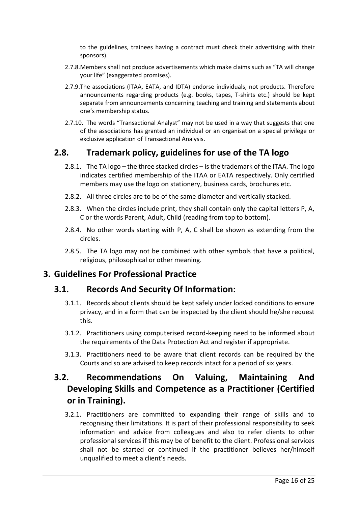to the guidelines, trainees having a contract must check their advertising with their sponsors).

- 2.7.8.Members shall not produce advertisements which make claims such as "TA will change your life" (exaggerated promises).
- 2.7.9.The associations (ITAA, EATA, and IDTA) endorse individuals, not products. Therefore announcements regarding products (e.g. books, tapes, T-shirts etc.) should be kept separate from announcements concerning teaching and training and statements about one's membership status.
- 2.7.10. The words "Transactional Analyst" may not be used in a way that suggests that one of the associations has granted an individual or an organisation a special privilege or exclusive application of Transactional Analysis.

#### **2.8. Trademark policy, guidelines for use of the TA logo**

- 2.8.1. The TA logo the three stacked circles is the trademark of the ITAA. The logo indicates certified membership of the ITAA or EATA respectively. Only certified members may use the logo on stationery, business cards, brochures etc.
- 2.8.2. All three circles are to be of the same diameter and vertically stacked.
- 2.8.3. When the circles include print, they shall contain only the capital letters P, A, C or the words Parent, Adult, Child (reading from top to bottom).
- 2.8.4. No other words starting with P, A, C shall be shown as extending from the circles.
- 2.8.5. The TA logo may not be combined with other symbols that have a political, religious, philosophical or other meaning.

#### **3. Guidelines For Professional Practice**

#### **3.1. Records And Security Of Information:**

- 3.1.1. Records about clients should be kept safely under locked conditions to ensure privacy, and in a form that can be inspected by the client should he/she request this.
- 3.1.2. Practitioners using computerised record-keeping need to be informed about the requirements of the Data Protection Act and register if appropriate.
- 3.1.3. Practitioners need to be aware that client records can be required by the Courts and so are advised to keep records intact for a period of six years.

# **3.2. Recommendations On Valuing, Maintaining And Developing Skills and Competence as a Practitioner (Certified or in Training).**

3.2.1. Practitioners are committed to expanding their range of skills and to recognising their limitations. It is part of their professional responsibility to seek information and advice from colleagues and also to refer clients to other professional services if this may be of benefit to the client. Professional services shall not be started or continued if the practitioner believes her/himself unqualified to meet a client's needs.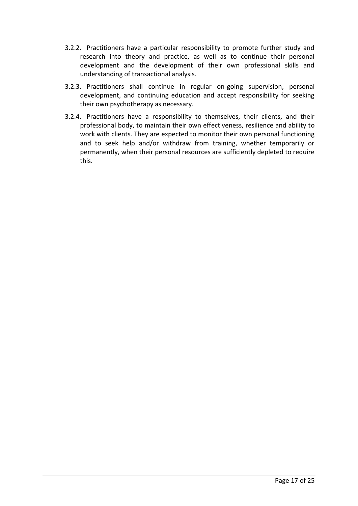- 3.2.2. Practitioners have a particular responsibility to promote further study and research into theory and practice, as well as to continue their personal development and the development of their own professional skills and understanding of transactional analysis.
- 3.2.3. Practitioners shall continue in regular on-going supervision, personal development, and continuing education and accept responsibility for seeking their own psychotherapy as necessary.
- 3.2.4. Practitioners have a responsibility to themselves, their clients, and their professional body, to maintain their own effectiveness, resilience and ability to work with clients. They are expected to monitor their own personal functioning and to seek help and/or withdraw from training, whether temporarily or permanently, when their personal resources are sufficiently depleted to require this.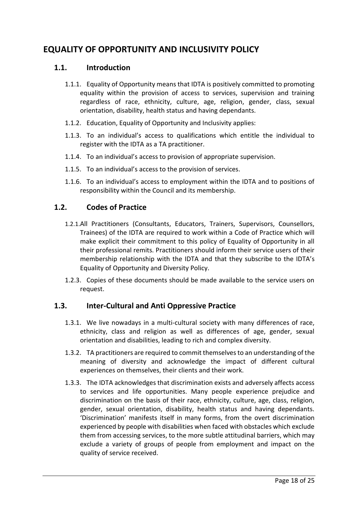# <span id="page-18-0"></span>**EQUALITY OF OPPORTUNITY AND INCLUSIVITY POLICY**

#### **1.1. Introduction**

- 1.1.1. Equality of Opportunity means that IDTA is positively committed to promoting equality within the provision of access to services, supervision and training regardless of race, ethnicity, culture, age, religion, gender, class, sexual orientation, disability, health status and having dependants.
- 1.1.2. Education, Equality of Opportunity and Inclusivity applies:
- 1.1.3. To an individual's access to qualifications which entitle the individual to register with the IDTA as a TA practitioner.
- 1.1.4. To an individual's access to provision of appropriate supervision.
- 1.1.5. To an individual's access to the provision of services.
- 1.1.6. To an individual's access to employment within the IDTA and to positions of responsibility within the Council and its membership.

#### **1.2. Codes of Practice**

- 1.2.1.All Practitioners (Consultants, Educators, Trainers, Supervisors, Counsellors, Trainees) of the IDTA are required to work within a Code of Practice which will make explicit their commitment to this policy of Equality of Opportunity in all their professional remits. Practitioners should inform their service users of their membership relationship with the IDTA and that they subscribe to the IDTA's Equality of Opportunity and Diversity Policy.
- 1.2.3. Copies of these documents should be made available to the service users on request.

#### **1.3. Inter-Cultural and Anti Oppressive Practice**

- 1.3.1. We live nowadays in a multi-cultural society with many differences of race, ethnicity, class and religion as well as differences of age, gender, sexual orientation and disabilities, leading to rich and complex diversity.
- 1.3.2. TA practitioners are required to commit themselves to an understanding of the meaning of diversity and acknowledge the impact of different cultural experiences on themselves, their clients and their work.
- 1.3.3. The IDTA acknowledges that discrimination exists and adversely affects access to services and life opportunities. Many people experience prejudice and discrimination on the basis of their race, ethnicity, culture, age, class, religion, gender, sexual orientation, disability, health status and having dependants. 'Discrimination' manifests itself in many forms, from the overt discrimination experienced by people with disabilities when faced with obstacles which exclude them from accessing services, to the more subtle attitudinal barriers, which may exclude a variety of groups of people from employment and impact on the quality of service received.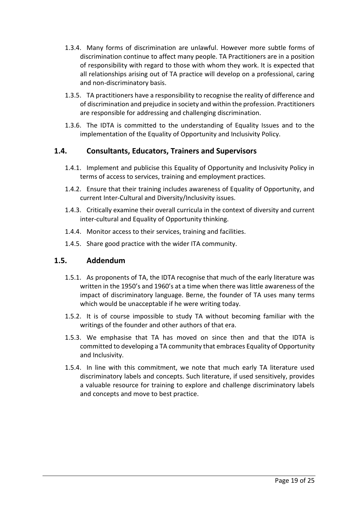- 1.3.4. Many forms of discrimination are unlawful. However more subtle forms of discrimination continue to affect many people. TA Practitioners are in a position of responsibility with regard to those with whom they work. It is expected that all relationships arising out of TA practice will develop on a professional, caring and non-discriminatory basis.
- 1.3.5. TA practitioners have a responsibility to recognise the reality of difference and of discrimination and prejudice in society and within the profession. Practitioners are responsible for addressing and challenging discrimination.
- 1.3.6. The IDTA is committed to the understanding of Equality Issues and to the implementation of the Equality of Opportunity and Inclusivity Policy.

#### **1.4. Consultants, Educators, Trainers and Supervisors**

- 1.4.1. Implement and publicise this Equality of Opportunity and Inclusivity Policy in terms of access to services, training and employment practices.
- 1.4.2. Ensure that their training includes awareness of Equality of Opportunity, and current Inter-Cultural and Diversity/Inclusivity issues.
- 1.4.3. Critically examine their overall curricula in the context of diversity and current inter-cultural and Equality of Opportunity thinking.
- 1.4.4. Monitor access to their services, training and facilities.
- 1.4.5. Share good practice with the wider ITA community.

#### **1.5. Addendum**

- 1.5.1. As proponents of TA, the IDTA recognise that much of the early literature was written in the 1950's and 1960's at a time when there was little awareness of the impact of discriminatory language. Berne, the founder of TA uses many terms which would be unacceptable if he were writing today.
- 1.5.2. It is of course impossible to study TA without becoming familiar with the writings of the founder and other authors of that era.
- 1.5.3. We emphasise that TA has moved on since then and that the IDTA is committed to developing a TA community that embraces Equality of Opportunity and Inclusivity.
- 1.5.4. In line with this commitment, we note that much early TA literature used discriminatory labels and concepts. Such literature, if used sensitively, provides a valuable resource for training to explore and challenge discriminatory labels and concepts and move to best practice.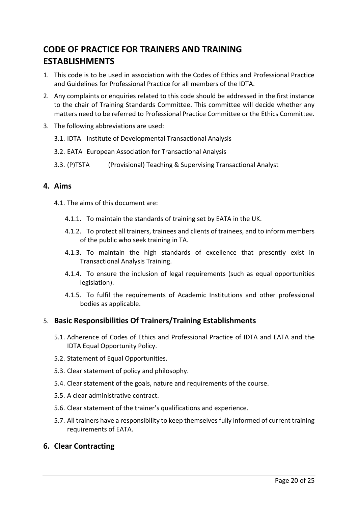# <span id="page-20-0"></span>**CODE OF PRACTICE FOR TRAINERS AND TRAINING ESTABLISHMENTS**

- 1. This code is to be used in association with the Codes of Ethics and Professional Practice and Guidelines for Professional Practice for all members of the IDTA.
- 2. Any complaints or enquiries related to this code should be addressed in the first instance to the chair of Training Standards Committee. This committee will decide whether any matters need to be referred to Professional Practice Committee or the Ethics Committee.
- 3. The following abbreviations are used:
	- 3.1. IDTA Institute of Developmental Transactional Analysis
	- 3.2. EATA European Association for Transactional Analysis
	- 3.3. (P)TSTA (Provisional) Teaching & Supervising Transactional Analyst

#### **4. Aims**

- 4.1. The aims of this document are:
	- 4.1.1. To maintain the standards of training set by EATA in the UK.
	- 4.1.2. To protect all trainers, trainees and clients of trainees, and to inform members of the public who seek training in TA.
	- 4.1.3. To maintain the high standards of excellence that presently exist in Transactional Analysis Training.
	- 4.1.4. To ensure the inclusion of legal requirements (such as equal opportunities legislation).
	- 4.1.5. To fulfil the requirements of Academic Institutions and other professional bodies as applicable.

#### 5. **Basic Responsibilities Of Trainers/Training Establishments**

- 5.1. Adherence of Codes of Ethics and Professional Practice of IDTA and EATA and the IDTA Equal Opportunity Policy.
- 5.2. Statement of Equal Opportunities.
- 5.3. Clear statement of policy and philosophy.
- 5.4. Clear statement of the goals, nature and requirements of the course.
- 5.5. A clear administrative contract.
- 5.6. Clear statement of the trainer's qualifications and experience.
- 5.7. All trainers have a responsibility to keep themselves fully informed of current training requirements of EATA.

#### **6. Clear Contracting**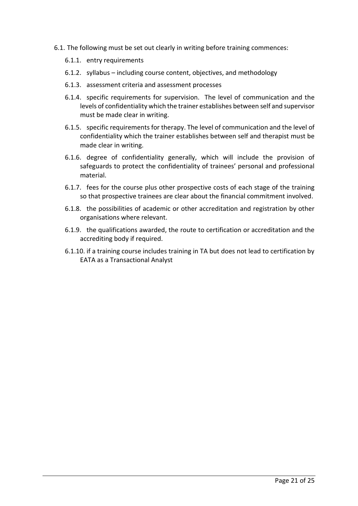- <span id="page-21-0"></span>6.1. The following must be set out clearly in writing before training commences:
	- 6.1.1. entry requirements
	- 6.1.2. syllabus including course content, objectives, and methodology
	- 6.1.3. assessment criteria and assessment processes
	- 6.1.4. specific requirements for supervision. The level of communication and the levels of confidentiality which the trainer establishes between self and supervisor must be made clear in writing.
	- 6.1.5. specific requirements for therapy. The level of communication and the level of confidentiality which the trainer establishes between self and therapist must be made clear in writing.
	- 6.1.6. degree of confidentiality generally, which will include the provision of safeguards to protect the confidentiality of trainees' personal and professional material.
	- 6.1.7. fees for the course plus other prospective costs of each stage of the training so that prospective trainees are clear about the financial commitment involved.
	- 6.1.8. the possibilities of academic or other accreditation and registration by other organisations where relevant.
	- 6.1.9. the qualifications awarded, the route to certification or accreditation and the accrediting body if required.
	- 6.1.10. if a training course includes training in TA but does not lead to certification by EATA as a Transactional Analyst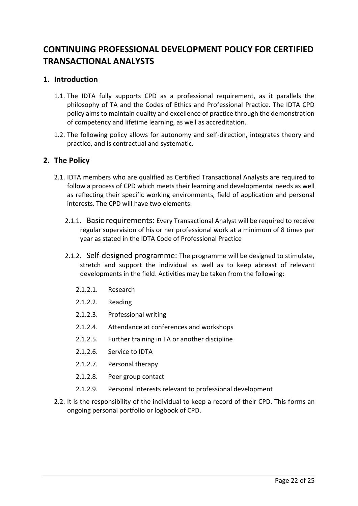# **CONTINUING PROFESSIONAL DEVELOPMENT POLICY FOR CERTIFIED TRANSACTIONAL ANALYSTS**

#### **1. Introduction**

- 1.1. The IDTA fully supports CPD as a professional requirement, as it parallels the philosophy of TA and the Codes of Ethics and Professional Practice. The IDTA CPD policy aims to maintain quality and excellence of practice through the demonstration of competency and lifetime learning, as well as accreditation.
- 1.2. The following policy allows for autonomy and self-direction, integrates theory and practice, and is contractual and systematic.

#### **2. The Policy**

- 2.1. IDTA members who are qualified as Certified Transactional Analysts are required to follow a process of CPD which meets their learning and developmental needs as well as reflecting their specific working environments, field of application and personal interests. The CPD will have two elements:
	- 2.1.1. Basic requirements: Every Transactional Analyst will be required to receive regular supervision of his or her professional work at a minimum of 8 times per year as stated in the IDTA Code of Professional Practice
	- 2.1.2. Self-designed programme: The programme will be designed to stimulate, stretch and support the individual as well as to keep abreast of relevant developments in the field. Activities may be taken from the following:
		- 2.1.2.1. Research
		- 2.1.2.2. Reading
		- 2.1.2.3. Professional writing
		- 2.1.2.4. Attendance at conferences and workshops
		- 2.1.2.5. Further training in TA or another discipline
		- 2.1.2.6. Service to IDTA
		- 2.1.2.7. Personal therapy
		- 2.1.2.8. Peer group contact
		- 2.1.2.9. Personal interests relevant to professional development
- 2.2. It is the responsibility of the individual to keep a record of their CPD. This forms an ongoing personal portfolio or logbook of CPD.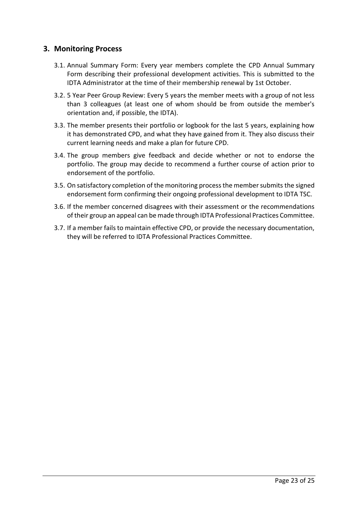#### **3. Monitoring Process**

- 3.1. Annual Summary Form: Every year members complete the CPD Annual Summary Form describing their professional development activities. This is submitted to the IDTA Administrator at the time of their membership renewal by 1st October.
- 3.2. 5 Year Peer Group Review: Every 5 years the member meets with a group of not less than 3 colleagues (at least one of whom should be from outside the member's orientation and, if possible, the IDTA).
- 3.3. The member presents their portfolio or logbook for the last 5 years, explaining how it has demonstrated CPD, and what they have gained from it. They also discuss their current learning needs and make a plan for future CPD.
- 3.4. The group members give feedback and decide whether or not to endorse the portfolio. The group may decide to recommend a further course of action prior to endorsement of the portfolio.
- 3.5. On satisfactory completion of the monitoring process the member submits the signed endorsement form confirming their ongoing professional development to IDTA TSC.
- 3.6. If the member concerned disagrees with their assessment or the recommendations of their group an appeal can be made through IDTA Professional Practices Committee.
- 3.7. If a member fails to maintain effective CPD, or provide the necessary documentation, they will be referred to IDTA Professional Practices Committee.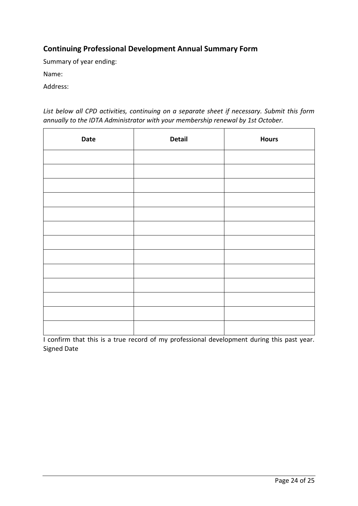#### **Continuing Professional Development Annual Summary Form**

Summary of year ending:

Name:

Address:

*List below all CPD activities, continuing on a separate sheet if necessary. Submit this form annually to the IDTA Administrator with your membership renewal by 1st October.* 

| Date | <b>Detail</b> | <b>Hours</b> |
|------|---------------|--------------|
|      |               |              |
|      |               |              |
|      |               |              |
|      |               |              |
|      |               |              |
|      |               |              |
|      |               |              |
|      |               |              |
|      |               |              |
|      |               |              |
|      |               |              |
|      |               |              |
|      |               |              |

I confirm that this is a true record of my professional development during this past year. Signed Date